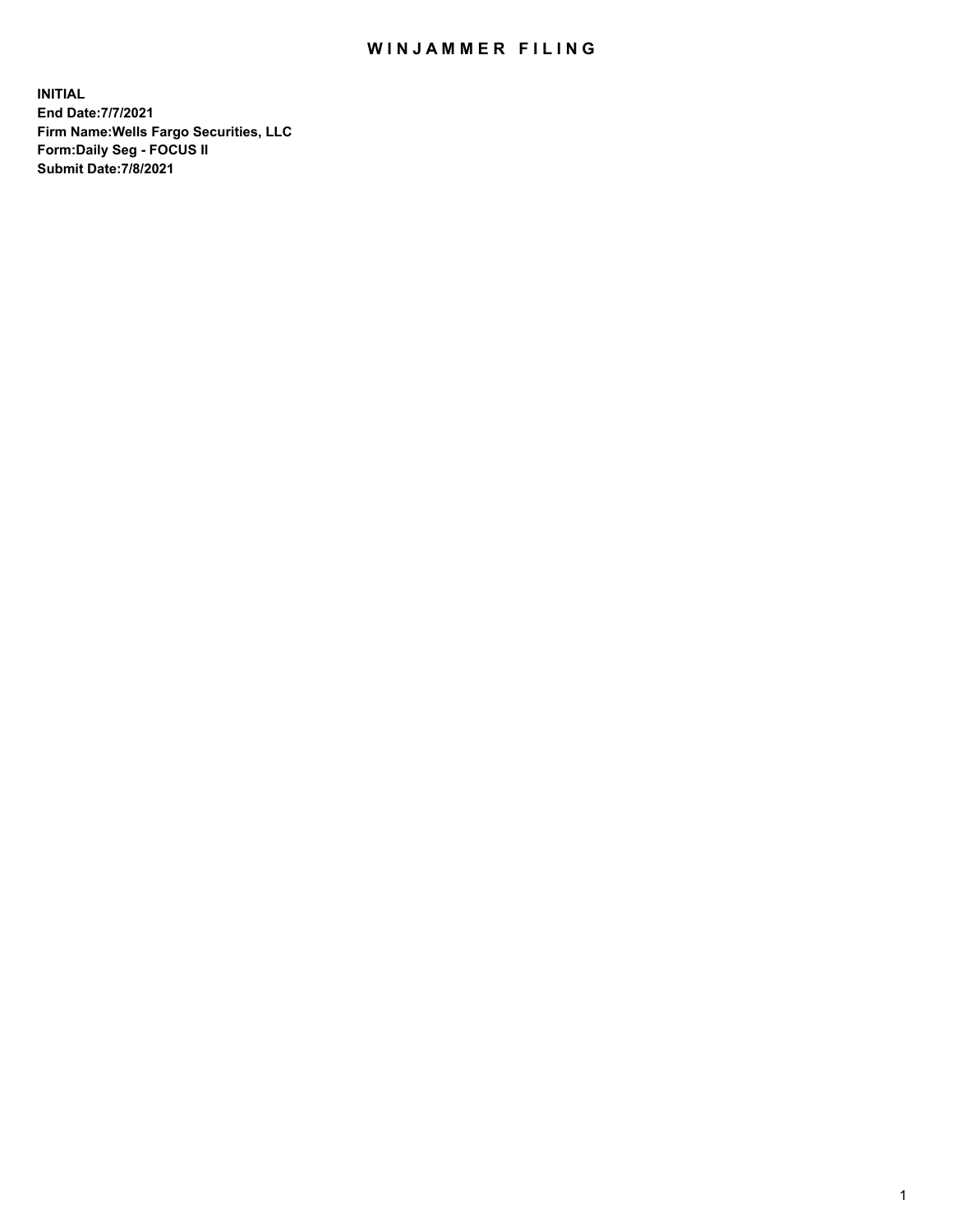## WIN JAMMER FILING

**INITIAL End Date:7/7/2021 Firm Name:Wells Fargo Securities, LLC Form:Daily Seg - FOCUS II Submit Date:7/8/2021**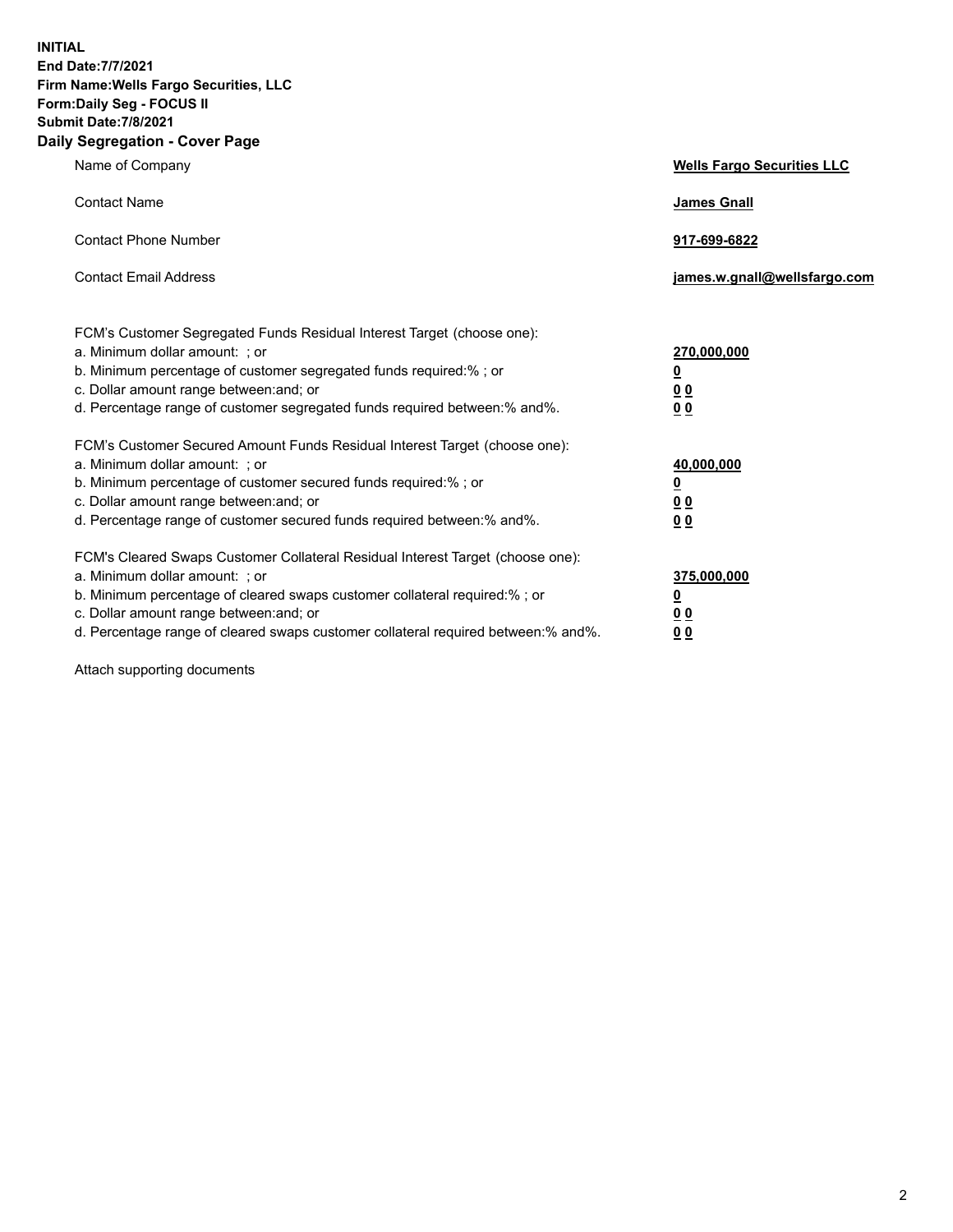**INITIAL End Date:7/7/2021 Firm Name:Wells Fargo Securities, LLC Form:Daily Seg - FOCUS II Submit Date:7/8/2021 Daily Segregation - Cover Page**

| Name of Company                                                                                                                                                                                                                                                                                                                | <b>Wells Fargo Securities LLC</b>               |
|--------------------------------------------------------------------------------------------------------------------------------------------------------------------------------------------------------------------------------------------------------------------------------------------------------------------------------|-------------------------------------------------|
| <b>Contact Name</b>                                                                                                                                                                                                                                                                                                            | <b>James Gnall</b>                              |
| <b>Contact Phone Number</b>                                                                                                                                                                                                                                                                                                    | 917-699-6822                                    |
| <b>Contact Email Address</b>                                                                                                                                                                                                                                                                                                   | james.w.gnall@wellsfargo.com                    |
| FCM's Customer Segregated Funds Residual Interest Target (choose one):<br>a. Minimum dollar amount: ; or<br>b. Minimum percentage of customer segregated funds required:% ; or<br>c. Dollar amount range between: and; or<br>d. Percentage range of customer segregated funds required between:% and%.                         | 270,000,000<br><u>0</u><br>00<br>0 <sub>0</sub> |
| FCM's Customer Secured Amount Funds Residual Interest Target (choose one):<br>a. Minimum dollar amount: ; or<br>b. Minimum percentage of customer secured funds required:%; or<br>c. Dollar amount range between: and; or<br>d. Percentage range of customer secured funds required between:% and%.                            | 40,000,000<br><u>0</u><br>00<br>0 <sub>0</sub>  |
| FCM's Cleared Swaps Customer Collateral Residual Interest Target (choose one):<br>a. Minimum dollar amount: ; or<br>b. Minimum percentage of cleared swaps customer collateral required:% ; or<br>c. Dollar amount range between: and; or<br>d. Percentage range of cleared swaps customer collateral required between:% and%. | 375,000,000<br><u>0</u><br>0 <sub>0</sub><br>00 |

Attach supporting documents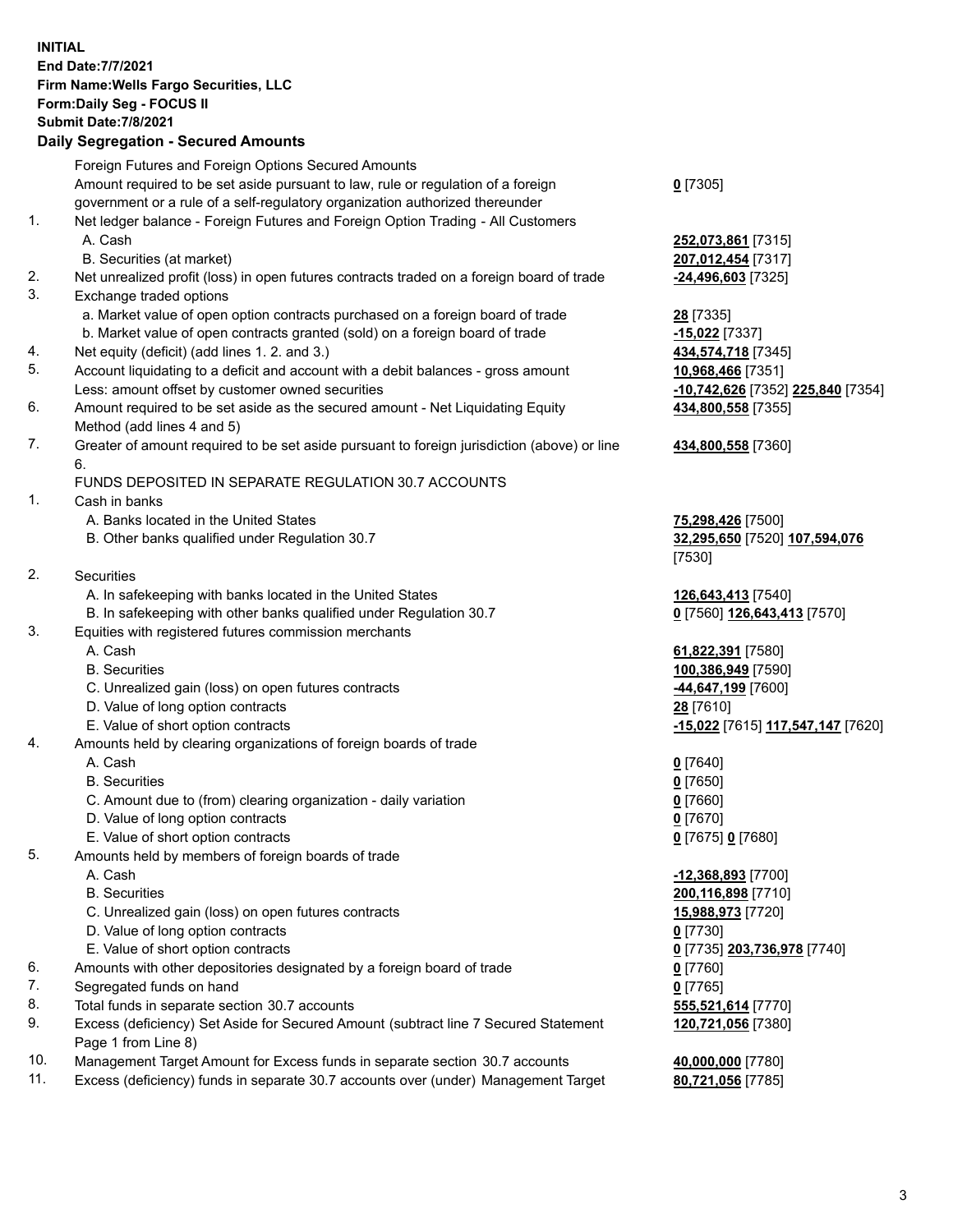**INITIAL End Date:7/7/2021 Firm Name:Wells Fargo Securities, LLC Form:Daily Seg - FOCUS II Submit Date:7/8/2021 Daily Segregation - Secured Amounts**

Foreign Futures and Foreign Options Secured Amounts Amount required to be set aside pursuant to law, rule or regulation of a foreign government or a rule of a self-regulatory organization authorized thereunder 1. Net ledger balance - Foreign Futures and Foreign Option Trading - All Customers A. Cash **252,073,861** [7315] B. Securities (at market) **207,012,454** [7317] 2. Net unrealized profit (loss) in open futures contracts traded on a foreign board of trade **-24,496,603** [7325] 3. Exchange traded options a. Market value of open option contracts purchased on a foreign board of trade **28** [7335] b. Market value of open contracts granted (sold) on a foreign board of trade **-15,022** [7337] 4. Net equity (deficit) (add lines 1. 2. and 3.) **434,574,718** [7345] 5. Account liquidating to a deficit and account with a debit balances - gross amount **10,968,466** [7351] Less: amount offset by customer owned securities **-10,742,626** [7352] **225,840** [7354] 6. Amount required to be set aside as the secured amount - Net Liquidating Equity Method (add lines 4 and 5) 7. Greater of amount required to be set aside pursuant to foreign jurisdiction (above) or line 6. FUNDS DEPOSITED IN SEPARATE REGULATION 30.7 ACCOUNTS 1. Cash in banks A. Banks located in the United States **75,298,426** [7500] B. Other banks qualified under Regulation 30.7 **32,295,650** [7520] **107,594,076** 2. Securities A. In safekeeping with banks located in the United States **126,643,413** [7540] B. In safekeeping with other banks qualified under Regulation 30.7 **0** [7560] **126,643,413** [7570] 3. Equities with registered futures commission merchants A. Cash **61,822,391** [7580] B. Securities **100,386,949** [7590] C. Unrealized gain (loss) on open futures contracts **-44,647,199** [7600] D. Value of long option contracts **28** [7610] E. Value of short option contracts **-15,022** [7615] **117,547,147** [7620] 4. Amounts held by clearing organizations of foreign boards of trade

- A. Cash **0** [7640]
- B. Securities **0** [7650]
- C. Amount due to (from) clearing organization daily variation **0** [7660]
- D. Value of long option contracts **0** [7670]
- E. Value of short option contracts **0** [7675] **0** [7680]
- 5. Amounts held by members of foreign boards of trade
	-
	-
	- C. Unrealized gain (loss) on open futures contracts **15,988,973** [7720]
	- D. Value of long option contracts **0** [7730]
	- E. Value of short option contracts **0** [7735] **203,736,978** [7740]
- 6. Amounts with other depositories designated by a foreign board of trade **0** [7760]
- 7. Segregated funds on hand **0** [7765]
- 8. Total funds in separate section 30.7 accounts **555,521,614** [7770]
- 9. Excess (deficiency) Set Aside for Secured Amount (subtract line 7 Secured Statement Page 1 from Line 8)
- 10. Management Target Amount for Excess funds in separate section 30.7 accounts **40,000,000** [7780]
- 11. Excess (deficiency) funds in separate 30.7 accounts over (under) Management Target **80,721,056** [7785]

**0** [7305]

**434,800,558** [7355]

## **434,800,558** [7360]

[7530]

 A. Cash **-12,368,893** [7700] B. Securities **200,116,898** [7710] **120,721,056** [7380]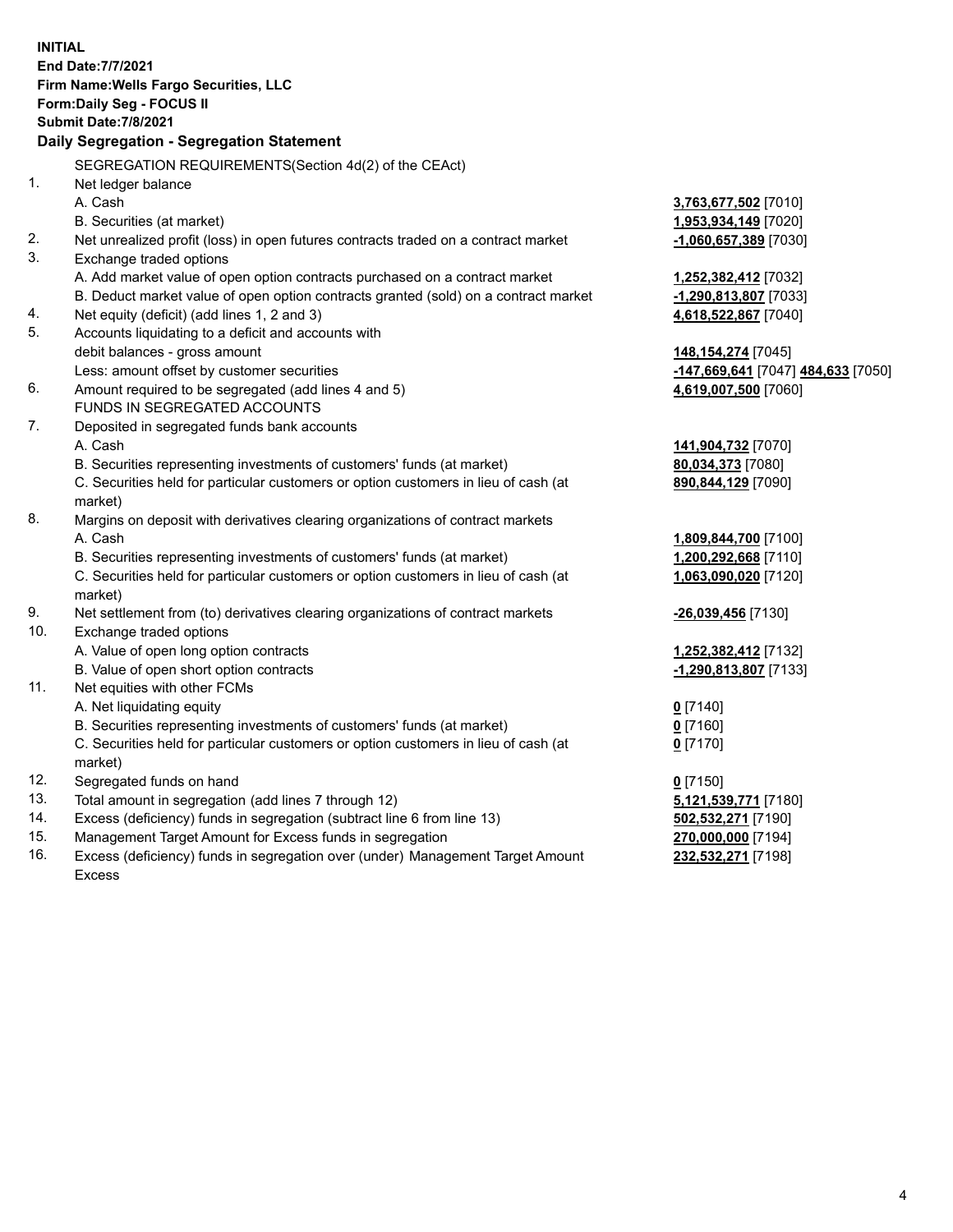|     | <b>INITIAL</b><br><b>End Date:7/7/2021</b><br>Firm Name: Wells Fargo Securities, LLC<br>Form: Daily Seg - FOCUS II<br><b>Submit Date: 7/8/2021</b><br><b>Daily Segregation - Segregation Statement</b> |                                                            |
|-----|--------------------------------------------------------------------------------------------------------------------------------------------------------------------------------------------------------|------------------------------------------------------------|
|     | SEGREGATION REQUIREMENTS(Section 4d(2) of the CEAct)                                                                                                                                                   |                                                            |
| 1.  | Net ledger balance<br>A. Cash                                                                                                                                                                          | 3,763,677,502 [7010]                                       |
|     | B. Securities (at market)                                                                                                                                                                              | 1,953,934,149 [7020]                                       |
| 2.  | Net unrealized profit (loss) in open futures contracts traded on a contract market                                                                                                                     | -1,060,657,389 [7030]                                      |
| 3.  | Exchange traded options                                                                                                                                                                                |                                                            |
|     | A. Add market value of open option contracts purchased on a contract market                                                                                                                            | 1,252,382,412 [7032]                                       |
|     | B. Deduct market value of open option contracts granted (sold) on a contract market                                                                                                                    | -1,290,813,807 [7033]                                      |
| 4.  | Net equity (deficit) (add lines 1, 2 and 3)                                                                                                                                                            | 4,618,522,867 [7040]                                       |
| 5.  | Accounts liquidating to a deficit and accounts with                                                                                                                                                    |                                                            |
|     | debit balances - gross amount                                                                                                                                                                          | 148,154,274 [7045]                                         |
| 6.  | Less: amount offset by customer securities<br>Amount required to be segregated (add lines 4 and 5)                                                                                                     | -147,669,641 [7047] 484,633 [7050]<br>4,619,007,500 [7060] |
|     | FUNDS IN SEGREGATED ACCOUNTS                                                                                                                                                                           |                                                            |
| 7.  | Deposited in segregated funds bank accounts                                                                                                                                                            |                                                            |
|     | A. Cash                                                                                                                                                                                                | 141,904,732 [7070]                                         |
|     | B. Securities representing investments of customers' funds (at market)                                                                                                                                 | 80,034,373 [7080]                                          |
|     | C. Securities held for particular customers or option customers in lieu of cash (at<br>market)                                                                                                         | 890,844,129 [7090]                                         |
| 8.  | Margins on deposit with derivatives clearing organizations of contract markets                                                                                                                         |                                                            |
|     | A. Cash                                                                                                                                                                                                | 1,809,844,700 [7100]                                       |
|     | B. Securities representing investments of customers' funds (at market)                                                                                                                                 | 1,200,292,668 [7110]                                       |
|     | C. Securities held for particular customers or option customers in lieu of cash (at<br>market)                                                                                                         | 1,063,090,020 [7120]                                       |
| 9.  | Net settlement from (to) derivatives clearing organizations of contract markets                                                                                                                        | -26,039,456 [7130]                                         |
| 10. | Exchange traded options                                                                                                                                                                                |                                                            |
|     | A. Value of open long option contracts                                                                                                                                                                 | 1,252,382,412 [7132]                                       |
|     | B. Value of open short option contracts                                                                                                                                                                | -1,290,813,807 [7133]                                      |
| 11. | Net equities with other FCMs                                                                                                                                                                           |                                                            |
|     | A. Net liquidating equity                                                                                                                                                                              | $0$ [7140]                                                 |
|     | B. Securities representing investments of customers' funds (at market)                                                                                                                                 | $0$ [7160]                                                 |
|     | C. Securities held for particular customers or option customers in lieu of cash (at<br>market)                                                                                                         | $0$ [7170]                                                 |
| 12. | Segregated funds on hand                                                                                                                                                                               | $0$ [7150]                                                 |
| 13. | Total amount in segregation (add lines 7 through 12)                                                                                                                                                   | 5,121,539,771 [7180]                                       |
| 14. | Excess (deficiency) funds in segregation (subtract line 6 from line 13)                                                                                                                                | 502,532,271 [7190]                                         |
| 15. | Management Target Amount for Excess funds in segregation                                                                                                                                               | 270,000,000 [7194]                                         |
| 16. | Excess (deficiency) funds in segregation over (under) Management Target Amount<br>Excess                                                                                                               | 232,532,271 [7198]                                         |